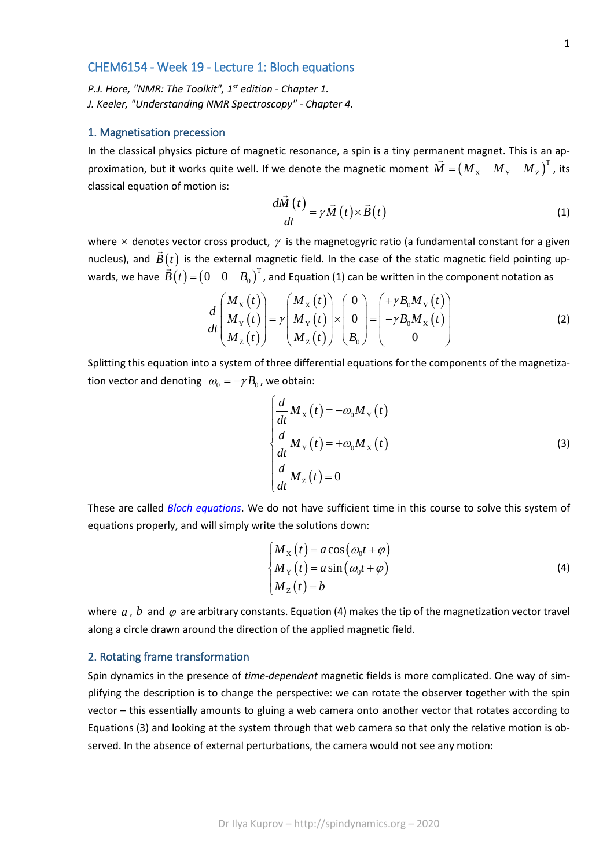### CHEM6154 - Week 19 - Lecture 1: Bloch equations

*P.J. Hore, "NMR: The Toolkit", 1st edition - Chapter 1. J. Keeler, "Understanding NMR Spectroscopy" - Chapter 4.*

#### 1. Magnetisation precession

In the classical physics picture of magnetic resonance, a spin is a tiny permanent magnet. This is an approximation, but it works quite well. If we denote the magnetic moment  $\vec{M} = (M_{\overline{X}} \quad M_{\overline{Y}} \quad M_{\overline{Z}})^T$ , its classical equation of motion is:

$$
\frac{d\vec{M}(t)}{dt} = \gamma \vec{M}(t) \times \vec{B}(t)
$$
\n(1)

where  $\times$  denotes vector cross product,  $\gamma$  is the magnetogyric ratio (a fundamental constant for a given nucleus), and  $\vec{B}(t)$  is the external magnetic field. In the case of the static magnetic field pointing upwards, we have  $\vec{B}(t) = (0 \quad 0 \quad B_0)^T$ , and Equation (1) can be written in the component notation as

$$
\frac{d}{dt} \begin{pmatrix} M_X(t) \\ M_Y(t) \\ M_Z(t) \end{pmatrix} = \gamma \begin{pmatrix} M_X(t) \\ M_Y(t) \\ M_Z(t) \end{pmatrix} \times \begin{pmatrix} 0 \\ 0 \\ B_0 \end{pmatrix} = \begin{pmatrix} +\gamma B_0 M_Y(t) \\ -\gamma B_0 M_X(t) \\ 0 \end{pmatrix}
$$
\n(2)

Splitting this equation into a system of three differential equations for the components of the magnetization vector and denoting  $\omega_0 = -\gamma B_0$ , we obtain:

$$
\begin{cases}\n\frac{d}{dt}M_{\rm X}(t) = -\omega_0 M_{\rm Y}(t) \\
\frac{d}{dt}M_{\rm Y}(t) = +\omega_0 M_{\rm X}(t) \\
\frac{d}{dt}M_{\rm Z}(t) = 0\n\end{cases}
$$
\n(3)

These are called *Bloch equations*. We do not have sufficient time in this course to solve this system of equations properly, and will simply write the solutions down:

$$
\begin{cases}\nM_X(t) = a\cos(\omega_0 t + \varphi) \\
M_Y(t) = a\sin(\omega_0 t + \varphi) \\
M_Z(t) = b\n\end{cases}
$$
\n(4)

where  $a$ ,  $b$  and  $\varphi$  are arbitrary constants. Equation (4) makes the tip of the magnetization vector travel along a circle drawn around the direction of the applied magnetic field.

#### 2. Rotating frame transformation

Spin dynamics in the presence of *time-dependent* magnetic fields is more complicated. One way of simplifying the description is to change the perspective: we can rotate the observer together with the spin vector – this essentially amounts to gluing a web camera onto another vector that rotates according to Equations (3) and looking at the system through that web camera so that only the relative motion is observed. In the absence of external perturbations, the camera would not see any motion: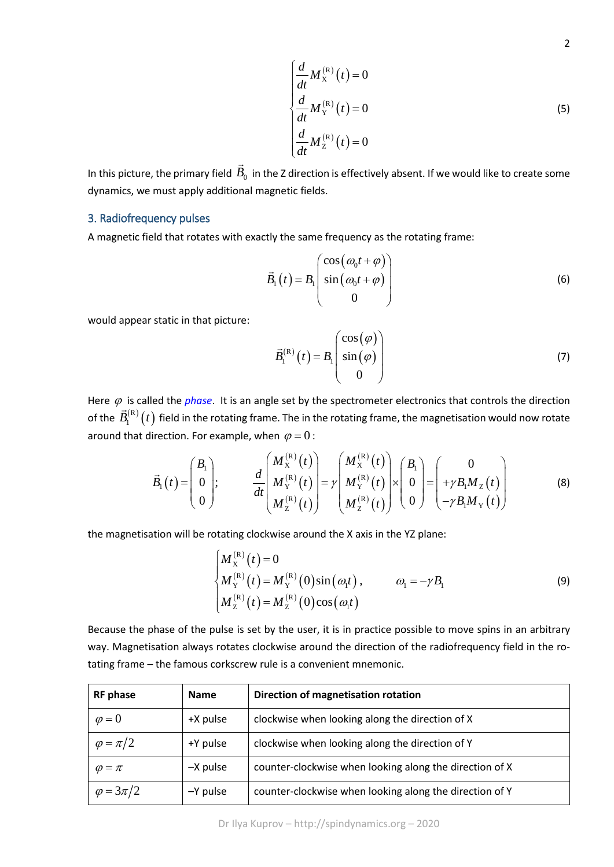$$
\begin{cases}\n\frac{d}{dt} M_{\mathbf{x}}^{(\mathbf{R})}(t) = 0\\ \n\frac{d}{dt} M_{\mathbf{Y}}^{(\mathbf{R})}(t) = 0\\ \n\frac{d}{dt} M_{\mathbf{Z}}^{(\mathbf{R})}(t) = 0\n\end{cases}
$$
\n(5)

In this picture, the primary field  $\vec{B}_0^{\phantom{\dag}}$  in the Z direction is effectively absent. If we would like to create some dynamics, we must apply additional magnetic fields.

# 3. Radiofrequency pulses

A magnetic field that rotates with exactly the same frequency as the rotating frame:

$$
\vec{B}_1(t) = B_1 \begin{pmatrix} \cos(\omega_0 t + \varphi) \\ \sin(\omega_0 t + \varphi) \\ 0 \end{pmatrix}
$$
 (6)

would appear static in that picture:

$$
\vec{B}_{1}^{(R)}(t) = B_{1} \begin{pmatrix} \cos(\varphi) \\ \sin(\varphi) \\ 0 \end{pmatrix}
$$
 (7)

Here  $\varphi$  is called the *phase*. It is an angle set by the spectrometer electronics that controls the direction of the  $\vec{B}_{1}^{(R)}(t)$  field in the rotating frame. The in the rotating frame, the magnetisation would now rotate around that direction. For example, when  $\varphi = 0$ :

$$
\vec{B}_1(t) = \begin{pmatrix} B_1 \\ 0 \\ 0 \end{pmatrix}; \qquad \frac{d}{dt} \begin{pmatrix} M_X^{(R)}(t) \\ M_Y^{(R)}(t) \\ M_Z^{(R)}(t) \end{pmatrix} = \gamma \begin{pmatrix} M_X^{(R)}(t) \\ M_Y^{(R)}(t) \\ M_Z^{(R)}(t) \end{pmatrix} \times \begin{pmatrix} B_1 \\ 0 \\ 0 \end{pmatrix} = \begin{pmatrix} 0 \\ +\gamma B_1 M_Z(t) \\ -\gamma B_1 M_Y(t) \end{pmatrix}
$$
(8)

the magnetisation will be rotating clockwise around the X axis in the YZ plane:

$$
\begin{cases}\nM_{X}^{(R)}(t) = 0 \\
M_{Y}^{(R)}(t) = M_{Y}^{(R)}(0)\sin(\omega_{1}t), & \omega_{1} = -\gamma B_{1} \\
M_{Z}^{(R)}(t) = M_{Z}^{(R)}(0)\cos(\omega_{1}t)\n\end{cases}
$$
\n(9)

Because the phase of the pulse is set by the user, it is in practice possible to move spins in an arbitrary way. Magnetisation always rotates clockwise around the direction of the radiofrequency field in the rotating frame – the famous corkscrew rule is a convenient mnemonic.

| <b>RF</b> phase    | <b>Name</b> | Direction of magnetisation rotation                     |
|--------------------|-------------|---------------------------------------------------------|
| $\varphi = 0$      | +X pulse    | clockwise when looking along the direction of X         |
| $\varphi = \pi/2$  | +Y pulse    | clockwise when looking along the direction of Y         |
| $\varphi = \pi$    | $-X$ pulse  | counter-clockwise when looking along the direction of X |
| $\varphi = 3\pi/2$ | -Y pulse    | counter-clockwise when looking along the direction of Y |